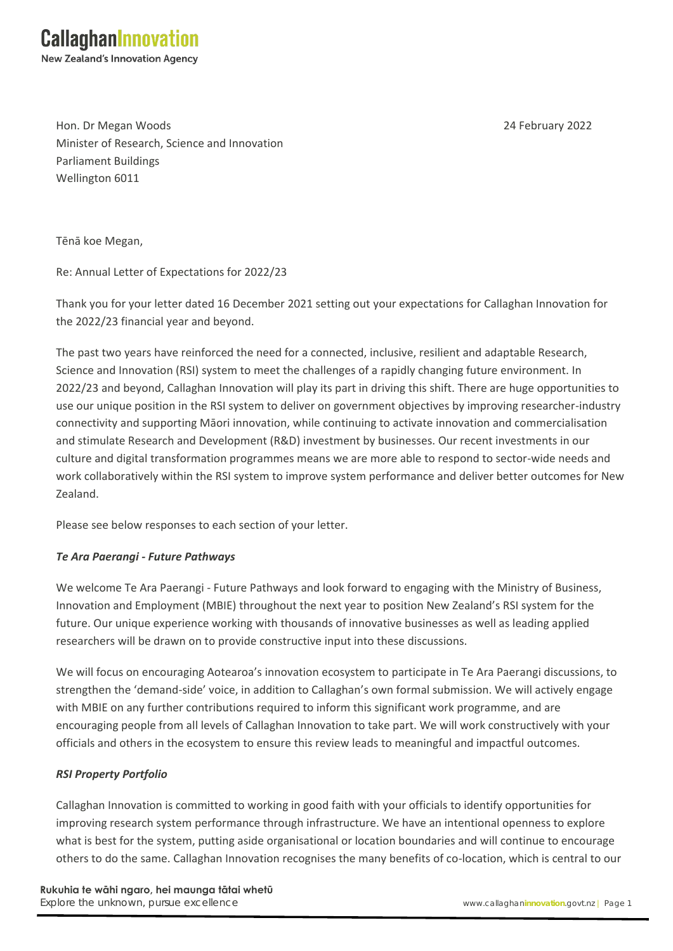Hon. Dr Megan Woods 24 February 2022 Minister of Research, Science and Innovation Parliament Buildings Wellington 6011

Tēnā koe Megan,

Re: Annual Letter of Expectations for 2022/23

Thank you for your letter dated 16 December 2021 setting out your expectations for Callaghan Innovation for the 2022/23 financial year and beyond.

The past two years have reinforced the need for a connected, inclusive, resilient and adaptable Research, Science and Innovation (RSI) system to meet the challenges of a rapidly changing future environment. In 2022/23 and beyond, Callaghan Innovation will play its part in driving this shift. There are huge opportunities to use our unique position in the RSI system to deliver on government objectives by improving researcher-industry connectivity and supporting Māori innovation, while continuing to activate innovation and commercialisation and stimulate Research and Development (R&D) investment by businesses. Our recent investments in our culture and digital transformation programmes means we are more able to respond to sector-wide needs and work collaboratively within the RSI system to improve system performance and deliver better outcomes for New Zealand.

Please see below responses to each section of your letter.

# *Te Ara Paerangi - Future Pathways*

We welcome Te Ara Paerangi - Future Pathways and look forward to engaging with the Ministry of Business, Innovation and Employment (MBIE) throughout the next year to position New Zealand's RSI system for the future. Our unique experience working with thousands of innovative businesses as well as leading applied researchers will be drawn on to provide constructive input into these discussions.

We will focus on encouraging Aotearoa's innovation ecosystem to participate in Te Ara Paerangi discussions, to strengthen the 'demand-side' voice, in addition to Callaghan's own formal submission. We will actively engage with MBIE on any further contributions required to inform this significant work programme, and are encouraging people from all levels of Callaghan Innovation to take part. We will work constructively with your officials and others in the ecosystem to ensure this review leads to meaningful and impactful outcomes.

# *RSI Property Portfolio*

Callaghan Innovation is committed to working in good faith with your officials to identify opportunities for improving research system performance through infrastructure. We have an intentional openness to explore what is best for the system, putting aside organisational or location boundaries and will continue to encourage others to do the same. Callaghan Innovation recognises the many benefits of co-location, which is central to our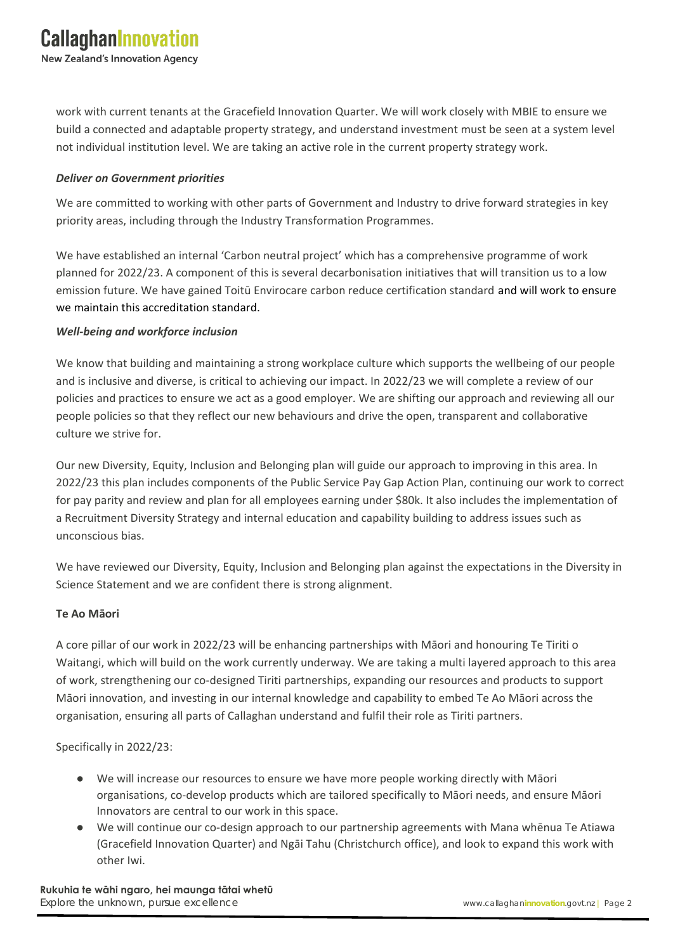work with current tenants at the Gracefield Innovation Quarter. We will work closely with MBIE to ensure we build a connected and adaptable property strategy, and understand investment must be seen at a system level not individual institution level. We are taking an active role in the current property strategy work.

### *Deliver on Government priorities*

We are committed to working with other parts of Government and Industry to drive forward strategies in key priority areas, including through the Industry Transformation Programmes.

We have established an internal 'Carbon neutral project' which has a comprehensive programme of work planned for 2022/23. A component of this is several decarbonisation initiatives that will transition us to a low emission future. We have gained Toitū Envirocare carbon reduce certification standard and will work to ensure we maintain this accreditation standard.

#### *Well-being and workforce inclusion*

We know that building and maintaining a strong workplace culture which supports the wellbeing of our people and is inclusive and diverse, is critical to achieving our impact. In 2022/23 we will complete a review of our policies and practices to ensure we act as a good employer. We are shifting our approach and reviewing all our people policies so that they reflect our new behaviours and drive the open, transparent and collaborative culture we strive for.

Our new Diversity, Equity, Inclusion and Belonging plan will guide our approach to improving in this area. In 2022/23 this plan includes components of the Public Service Pay Gap Action Plan, continuing our work to correct for pay parity and review and plan for all employees earning under \$80k. It also includes the implementation of a Recruitment Diversity Strategy and internal education and capability building to address issues such as unconscious bias.

We have reviewed our Diversity, Equity, Inclusion and Belonging plan against the expectations in the Diversity in Science Statement and we are confident there is strong alignment.

#### **Te Ao Māori**

A core pillar of our work in 2022/23 will be enhancing partnerships with Māori and honouring Te Tiriti o Waitangi, which will build on the work currently underway. We are taking a multi layered approach to this area of work, strengthening our co-designed Tiriti partnerships, expanding our resources and products to support Māori innovation, and investing in our internal knowledge and capability to embed Te Ao Māori across the organisation, ensuring all parts of Callaghan understand and fulfil their role as Tiriti partners.

Specifically in 2022/23:

- We will increase our resources to ensure we have more people working directly with Māori organisations, co-develop products which are tailored specifically to Māori needs, and ensure Māori Innovators are central to our work in this space.
- We will continue our co-design approach to our partnership agreements with Mana whēnua Te Atiawa (Gracefield Innovation Quarter) and Ngāi Tahu (Christchurch office), and look to expand this work with other Iwi.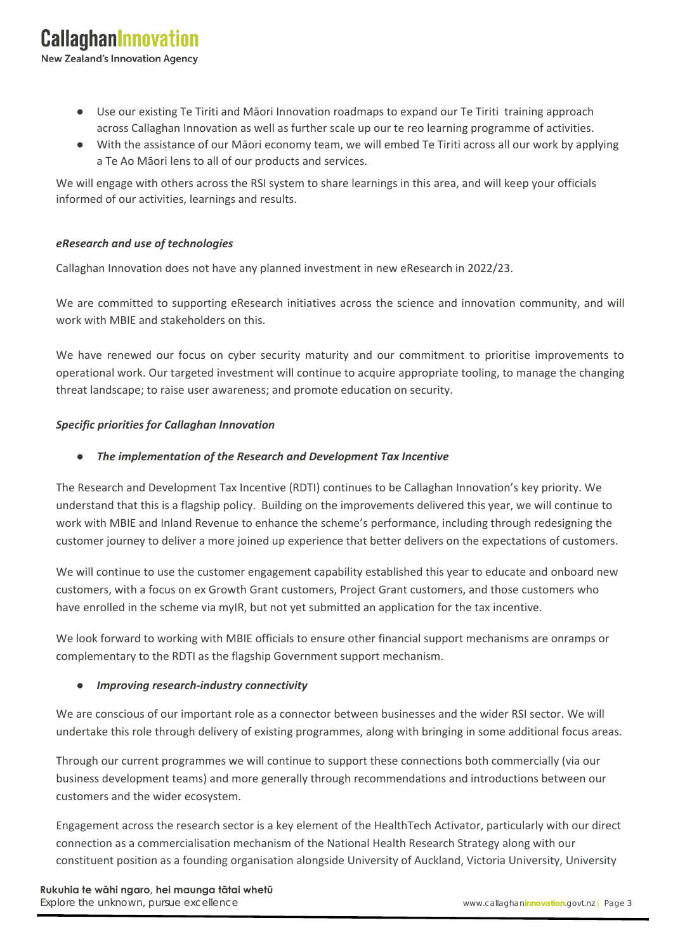**New Zealand's Innovation Agency** 

- Use our existing Te Tiriti and Māori Innovation roadmaps to expand our [Te Tiriti](https://docs.google.com/document/d/1EU-lerrbkjFP1kGVF_MZUv9RK-UWSKjx/edit#heading=h.22vxnjd) training approach across Callaghan Innovation as well as further scale up our te reo learning programme of activities.
- With the assistance of our Māori economy team, we will embed Te Tiriti across all our work by applying a Te Ao Māori lens to all of our products and services.

We will engage with others across the RSI system to share learnings in this area, and will keep your officials informed of our activities, learnings and results.

#### *eResearch and use of technologies*

Callaghan Innovation does not have any planned investment in new eResearch in 2022/23.

We are committed to supporting eResearch initiatives across the science and innovation community, and will work with MBIE and stakeholders on this.

We have renewed our focus on cyber security maturity and our commitment to prioritise improvements to operational work. Our targeted investment will continue to acquire appropriate tooling, to manage the changing threat landscape; to raise user awareness; and promote education on security.

#### *Specific priorities for Callaghan Innovation*

#### **The implementation of the Research and Development Tax Incentive**

The Research and Development Tax Incentive (RDTI) continues to be Callaghan Innovation's key priority. We understand that this is a flagship policy. Building on the improvements delivered this year, we will continue to work with MBIE and Inland Revenue to enhance the scheme's performance, including through redesigning the customer journey to deliver a more joined up experience that better delivers on the expectations of customers.

We will continue to use the customer engagement capability established this year to educate and onboard new customers, with a focus on ex Growth Grant customers, Project Grant customers, and those customers who have enrolled in the scheme via myIR, but not yet submitted an application for the tax incentive.

We look forward to working with MBIE officials to ensure other financial support mechanisms are onramps or complementary to the RDTI as the flagship Government support mechanism.

### ● *Improving research-industry connectivity*

We are conscious of our important role as a connector between businesses and the wider RSI sector. We will undertake this role through delivery of existing programmes, along with bringing in some additional focus areas.

Through our current programmes we will continue to support these connections both commercially (via our business development teams) and more generally through recommendations and introductions between our customers and the wider ecosystem.

Engagement across the research sector is a key element of the HealthTech Activator, particularly with our direct connection as a commercialisation mechanism of the National Health Research Strategy along with our constituent position as a founding organisation alongside University of Auckland, Victoria University, University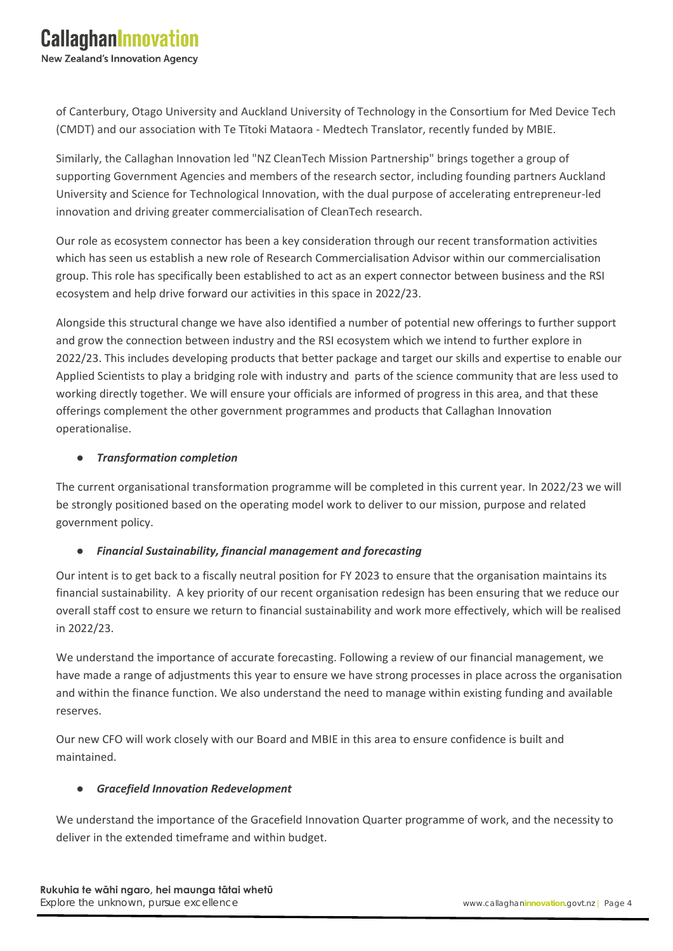of Canterbury, Otago University and Auckland University of Technology in the Consortium for Med Device Tech (CMDT) and our association with Te Tītoki Mataora - Medtech Translator, recently funded by MBIE.

Similarly, the Callaghan Innovation led "NZ CleanTech Mission Partnership" brings together a group of supporting Government Agencies and members of the research sector, including founding partners Auckland University and Science for Technological Innovation, with the dual purpose of accelerating entrepreneur-led innovation and driving greater commercialisation of CleanTech research.

Our role as ecosystem connector has been a key consideration through our recent transformation activities which has seen us establish a new role of Research Commercialisation Advisor within our commercialisation group. This role has specifically been established to act as an expert connector between business and the RSI ecosystem and help drive forward our activities in this space in 2022/23.

Alongside this structural change we have also identified a number of potential new offerings to further support and grow the connection between industry and the RSI ecosystem which we intend to further explore in 2022/23. This includes developing products that better package and target our skills and expertise to enable our Applied Scientists to play a bridging role with industry and parts of the science community that are less used to working directly together. We will ensure your officials are informed of progress in this area, and that these offerings complement the other government programmes and products that Callaghan Innovation operationalise.

### ● *Transformation completion*

The current organisational transformation programme will be completed in this current year. In 2022/23 we will be strongly positioned based on the operating model work to deliver to our mission, purpose and related government policy.

# ● *Financial Sustainability, financial management and forecasting*

Our intent is to get back to a fiscally neutral position for FY 2023 to ensure that the organisation maintains its financial sustainability. A key priority of our recent organisation redesign has been ensuring that we reduce our overall staff cost to ensure we return to financial sustainability and work more effectively, which will be realised in 2022/23.

We understand the importance of accurate forecasting. Following a review of our financial management, we have made a range of adjustments this year to ensure we have strong processes in place across the organisation and within the finance function. We also understand the need to manage within existing funding and available reserves.

Our new CFO will work closely with our Board and MBIE in this area to ensure confidence is built and maintained.

# ● *Gracefield Innovation Redevelopment*

We understand the importance of the Gracefield Innovation Quarter programme of work, and the necessity to deliver in the extended timeframe and within budget.